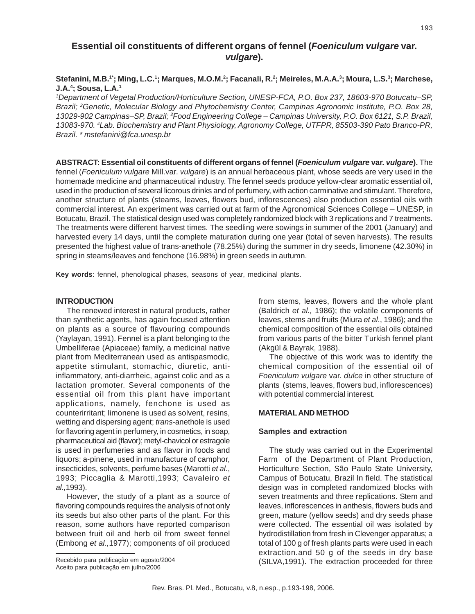# **Essential oil constituents of different organs of fennel (***Foeniculum vulgare* **var.** *vulgare***).**

# **Stefanini, M.B.1\*; Ming, L.C.1 ; Marques, M.O.M.2 ; Facanali, R.2 ; Meireles, M.A.A.3 ; Moura, L.S.3 ; Marchese, J.A.4 ; Sousa, L.A.1**

*1 Department of Vegetal Production/Horticulture Section, UNESP-FCA, P.O. Box 237, 18603-970 Botucatu–SP, Brazil; 2 Genetic, Molecular Biology and Phytochemistry Center, Campinas Agronomic Institute, P.O. Box 28, 13029-902 Campinas–SP, Brazil; 3 Food Engineering College – Campinas University, P.O. Box 6121, S.P. Brazil, 13083-970. 4 Lab. Biochemistry and Plant Physiology, Agronomy College, UTFPR, 85503-390 Pato Branco-PR, Brazil. \* mstefanini@fca.unesp.br*

**ABSTRACT: Essential oil constituents of different organs of fennel (***Foeniculum vulgare* **var.** *vulgare***).** The fennel (*Foeniculum vulgare* Mill.var. *vulgare*) is an annual herbaceous plant, whose seeds are very used in the homemade medicine and pharmaceutical industry. The fennel seeds produce yellow-clear aromatic essential oil, used in the production of several licorous drinks and of perfumery, with action carminative and stimulant. Therefore, another structure of plants (steams, leaves, flowers bud, inflorescences) also production essential oils with commercial interest. An experiment was carried out at farm of the Agronomical Sciences College – UNESP, in Botucatu, Brazil. The statistical design used was completely randomized block with 3 replications and 7 treatments. The treatments were different harvest times. The seedling were sowings in summer of the 2001 (January) and harvested every 14 days, until the complete maturation during one year (total of seven harvests). The results presented the highest value of trans-anethole (78.25%) during the summer in dry seeds, limonene (42.30%) in spring in steams/leaves and fenchone (16.98%) in green seeds in autumn.

**Key words**: fennel, phenological phases, seasons of year, medicinal plants.

#### **INTRODUCTION**

The renewed interest in natural products, rather than synthetic agents, has again focused attention on plants as a source of flavouring compounds (Yaylayan, 1991). Fennel is a plant belonging to the Umbelliferae (Apiaceae) family, a medicinal native plant from Mediterranean used as antispasmodic, appetite stimulant, stomachic, diuretic, antiinflammatory, anti-diarrheic, against colic and as a lactation promoter. Several components of the essential oil from this plant have important applications, namely, fenchone is used as counterirritant; limonene is used as solvent, resins, wetting and dispersing agent; *trans*-anethole is used for flavoring agent in perfumery, in cosmetics, in soap, pharmaceutical aid (flavor); metyl-chavicol or estragole is used in perfumeries and as flavor in foods and liquors; a-pinene, used in manufacture of camphor, insecticides, solvents, perfume bases (Marotti *et al*., 1993; Piccaglia & Marotti,1993; Cavaleiro *et al.,*1993).

However, the study of a plant as a source of flavoring compounds requires the analysis of not only its seeds but also other parts of the plant. For this reason, some authors have reported comparison between fruit oil and herb oil from sweet fennel (Embong *et al.,*1977); components of oil produced

Recebido para publicação em agosto/2004 (SILVA,1991). The extraction proceeded for three Aceito para publicação em julho/2006

from stems, leaves, flowers and the whole plant (Baldrich *et al.,* 1986); the volatile components of leaves, stems and fruits (Miura *et al*., 1986); and the chemical composition of the essential oils obtained from various parts of the bitter Turkish fennel plant (Akgül & Bayrak, 1988).

The objective of this work was to identify the chemical composition of the essential oil of *Foeniculum vulgare* var. *dulce* in other structure of plants (stems, leaves, flowers bud, inflorescences) with potential commercial interest.

#### **MATERIAL AND METHOD**

#### **Samples and extraction**

The study was carried out in the Experimental Farm of the Department of Plant Production, Horticulture Section, São Paulo State University, Campus of Botucatu, Brazil In field. The statistical design was in completed randomized blocks with seven treatments and three replications. Stem and leaves, inflorescences in anthesis, flowers buds and green, mature (yellow seeds) and dry seeds phase were collected. The essential oil was isolated by hydrodistillation from fresh in Clevenger apparatus; a total of 100 g of fresh plants parts were used in each extraction.and 50 g of the seeds in dry base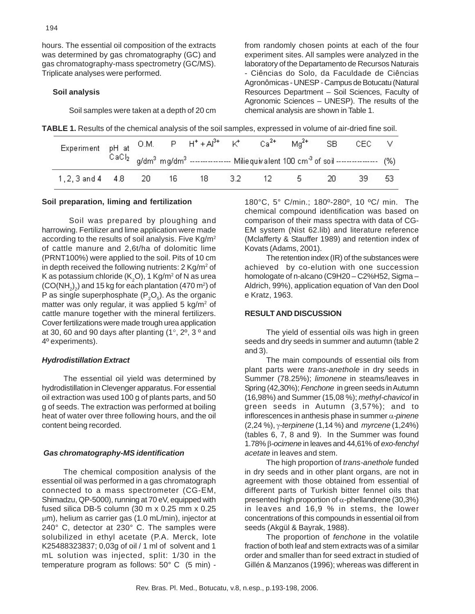hours. The essential oil composition of the extracts was determined by gas chromatography (GC) and gas chromatography-mass spectrometry (GC/MS). Triplicate analyses were performed.

#### **Soil analysis**

Soil samples were taken at a depth of 20 cm

from randomly chosen points at each of the four experiment sites. All samples were analyzed in the laboratory of the Departamento de Recursos Naturais - Ciências do Solo, da Faculdade de Ciências Agronômicas - UNESP - Campus de Botucatu (Natural Resources Department – Soil Sciences, Faculty of Agronomic Sciences – UNESP). The results of the chemical analysis are shown in Table 1.

|  |  | TABLE 1. Results of the chemical analysis of the soil samples, expressed in volume of air-dried fine soil. |
|--|--|------------------------------------------------------------------------------------------------------------|
|--|--|------------------------------------------------------------------------------------------------------------|

| Experiment pH at O.M. P $H^+ + Al^{3+}$ K <sup>+</sup> Ca <sup>2+</sup> Mg <sup>2+</sup> SB CEC |  |                                                                                                                              |  |  |    |    |
|-------------------------------------------------------------------------------------------------|--|------------------------------------------------------------------------------------------------------------------------------|--|--|----|----|
|                                                                                                 |  | CaCl <sub>2</sub> $q/dm^3$ mg/dm <sup>3</sup> --------------- Miliequivalent 100 cm <sup>3</sup> of soil --------------- (%) |  |  |    |    |
| 1,2,3 and 4 4.8 20 16 18 3.2 12 5 20                                                            |  |                                                                                                                              |  |  | 39 | 53 |

#### **Soil preparation, liming and fertilization**

Soil was prepared by ploughing and harrowing. Fertilizer and lime application were made according to the results of soil analysis. Five Kg/m2 of cattle manure and 2,6t/ha of dolomitic lime (PRNT100%) were applied to the soil. Pits of 10 cm in depth received the following nutrients: 2 Kg/m<sup>2</sup> of K as potassium chloride  $(K_2O)$ , 1 Kg/m<sup>2</sup> of N as urea (CO(NH $_2\rangle_2$ ) and 15 kg for each plantation (470 m²) of P as single superphosphate ( $P_2O_5$ ). As the organic matter was only regular, it was applied  $5 \text{ kg/m}^2$  of cattle manure together with the mineral fertilizers. Cover fertilizations were made trough urea application at 30, 60 and 90 days after planting (1°, 2º, 3 º and 4º experiments).

#### *Hydrodistillation Extract*

The essential oil yield was determined by hydrodistillation in Clevenger apparatus. For essential oil extraction was used 100 g of plants parts, and 50 g of seeds. The extraction was performed at boiling heat of water over three following hours, and the oil content being recorded.

#### *Gas chromatography-MS identification*

The chemical composition analysis of the essential oil was performed in a gas chromatograph connected to a mass spectrometer (CG-EM, Shimadzu, QP-5000), running at 70 eV, equipped with fused silica DB-5 column (30 m x 0.25 mm x 0.25 µm), helium as carrier gas (1.0 mL/min), injector at 240° C, detector at 230° C. The samples were solubilized in ethyl acetate (P.A. Merck, lote K25488323837; 0,03g of oil / 1 ml of solvent and 1 mL solution was injected, split: 1/30 in the temperature program as follows: 50° C (5 min) -

180°C, 5° C/min.; 180º-280º, 10 ºC/ min. The chemical compound identification was based on comparison of their mass spectra with data of CG-EM system (Nist 62.lib) and literature reference (Mclafferty & Stauffer 1989) and retention index of Kovats (Adams, 2001).

The retention index (IR) of the substances were achieved by co-elution with one succession homologate of n-alcano (C9H20 – C2%H52, Sigma – Aldrich, 99%), application equation of Van den Dool e Kratz, 1963.

#### **RESULT AND DISCUSSION**

The yield of essential oils was high in green seeds and dry seeds in summer and autumn (table 2 and 3).

The main compounds of essential oils from plant parts were *trans-anethole* in dry seeds in Summer (78.25%); *limonene* in steams/leaves in Spring (42,30%); *Fenchone* in green seeds in Autumn (16,98%) and Summer (15,08 %); *methyl-chavicol* in green seeds in Autumn (3,57%); and to inflorescences in anthesis phase in summer α*-pinene* (2,24 %), γ*-terpinene* (1,14 %) and *myrcene* (1,24%) (tables 6, 7, 8 and 9). In the Summer was found 1.78% β*-ocimene* in leaves and 44,61% of *exo-fenchyl acetate* in leaves and stem.

The high proportion of *trans-anethole* funded in dry seeds and in other plant organs, are not in agreement with those obtained from essential of different parts of Turkish bitter fennel oils that presented high proportion of α-phellandrene (30,3%) in leaves and 16,9 % in stems, the lower concentrations of this compounds in essential oil from seeds (Akgül & Bayrak, 1988).

The proportion of *fenchone* in the volatile fraction of both leaf and stem extracts was of a similar order and smaller than for seed extract in studied of Gillén & Manzanos (1996); whereas was different in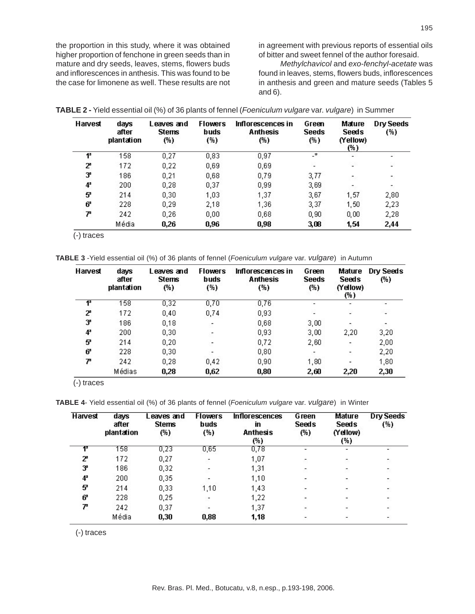the proportion in this study, where it was obtained higher proportion of fenchone in green seeds than in mature and dry seeds, leaves, stems, flowers buds and inflorescences in anthesis. This was found to be the case for limonene as well. These results are not

in agreement with previous reports of essential oils of bitter and sweet fennel of the author foresaid.

*Methylchavicol* and *exo-fenchyl-acetate* was found in leaves, stems, flowers buds, inflorescences in anthesis and green and mature seeds (Tables 5 and 6).

| Harvest     | days<br>after<br>plantation | Leavesand<br><b>Stems</b><br>(%) | <b>Flowers</b><br>buds<br>(%) | Inflorescences in<br><b>Anthesis</b><br>(%) | Green<br><b>Seeds</b><br>(%) | Mature<br><b>Seeds</b><br>(Yellow)<br>(%) | Dry Seeds<br>(%) |
|-------------|-----------------------------|----------------------------------|-------------------------------|---------------------------------------------|------------------------------|-------------------------------------------|------------------|
| 1ª          | 158                         | 0,27                             | 0,83                          | 0,97                                        | $\cdot$ *                    | ×                                         | ٠                |
| 2           | 172                         | 0,22                             | 0,69                          | 0,69                                        | G                            | g)                                        | D                |
| 3,          | 186                         | 0,21                             | 0,68                          | 0,79                                        | 3,77                         | ۰,                                        | ÷,               |
| $4^{\circ}$ | 200                         | 0,28                             | 0,37                          | 0,99                                        | 3,69                         |                                           | Ξ,               |
| 5           | 214                         | 0,30                             | 1,03                          | 1,37                                        | 3,67                         | 1,57                                      | 2,80             |
| 6°          | 228                         | 0,29                             | 2,18                          | 1,36                                        | 3,37                         | 1,50                                      | 2,23             |
| 7           | 242                         | 0,26                             | 0,00                          | 0,68                                        | 0,90                         | 0,00                                      | 2,28             |
|             | Média                       | 0,26                             | 0,96                          | 0,98                                        | 3,08                         | 1,54                                      | 2,44             |

| <b>TABLE 2 -</b> Yield essential oil (%) of 36 plants of fennel (Foeniculum vulgare var. vulgare) in Summer |  |  |  |  |  |  |
|-------------------------------------------------------------------------------------------------------------|--|--|--|--|--|--|
|-------------------------------------------------------------------------------------------------------------|--|--|--|--|--|--|

(-) traces

**TABLE 3** -Yield essential oil (%) of 36 plants of fennel (*Foeniculum vulgare* var. *vulgare*) in Autumn

| Harvest | days<br>after<br>plantation | Leavesand<br><b>Stems</b><br>(%) | <b>Flowers</b><br>buds<br>(%) | Inflorescences in<br><b>Anthesis</b><br>(%) | Green<br><b>Seeds</b><br>(%) | Mature<br><b>Seeds</b><br>(Yellow)<br>(%) | Dry Seeds<br>(%) |
|---------|-----------------------------|----------------------------------|-------------------------------|---------------------------------------------|------------------------------|-------------------------------------------|------------------|
| 1ª      | 158                         | 0,32                             | 0,70                          | 0,76                                        | $\overline{\phantom{a}}$     | $\overline{\phantom{a}}$                  | ٠                |
| 2       | 172                         | 0,40                             | 0,74                          | 0,93                                        | ÷                            | ٠                                         | $\overline{a}$   |
| 3"      | 186                         | 0,18                             |                               | 0,68                                        | 3,00                         | ÷.                                        |                  |
| 4ª      | 200                         | 0,30                             | Ξ                             | 0,93                                        | 3,00                         | 2,20                                      | 3,20             |
| 5       | 214                         | 0,20                             |                               | 0,72                                        | 2,60                         | $\overline{\phantom{a}}$                  | 2,00             |
| 6°      | 228                         | 0,30                             |                               | 0,80                                        | $\overline{\phantom{a}}$     | $\overline{\phantom{a}}$                  | 2,20             |
| 7       | 242                         | 0,28                             | 0,42                          | 0,90                                        | 1,80                         | $\overline{\phantom{a}}$                  | 1,80             |
|         | Médias                      | 0,28                             | 0,62                          | 0,80                                        | 2,60                         | 2,20                                      | 2,30             |

(-) traces

**TABLE 4**- Yield essential oil (%) of 36 plants of fennel (*Foeniculum vulgare* var. *vulgare*) in Winter

| Harvest | days<br>after<br>plantation | Leavesand<br><b>Stems</b><br>(%) | <b>Flowers</b><br>buds<br>(%) | <b>Inflorescences</b><br>in<br><b>Anthesis</b><br>(%) | <b>Green</b><br><b>Seeds</b><br>(%) | <b>Mature</b><br><b>Seeds</b><br>(Yellow)<br>(%) | <b>Dry Seeds</b><br>(%) |
|---------|-----------------------------|----------------------------------|-------------------------------|-------------------------------------------------------|-------------------------------------|--------------------------------------------------|-------------------------|
| 43      | 158                         | 0,23                             | 0,65                          | 0,78                                                  | -                                   | ٠                                                |                         |
| 2       | 172                         | 0,27                             |                               | 1,07                                                  | э                                   | -                                                | F.                      |
| з       | 186                         | 0,32                             |                               | 1,31                                                  | ÷,                                  | -                                                | Ō.                      |
| 4ª      | 200                         | 0,35                             |                               | 1,10                                                  | $\overline{\phantom{a}}$            | $\overline{\phantom{0}}$                         | ۳.                      |
| 5       | 214                         | 0,33                             | 1,10                          | 1,43                                                  | -                                   | -                                                | ۳.                      |
| 6°      | 228                         | 0,25                             | -                             | 1,22                                                  |                                     | -                                                | Ξ.                      |
| 7       | 242                         | 0,37                             |                               | 1,37                                                  | -                                   | -                                                | ٠                       |
|         | Média                       | 0,30                             | 0,88                          | 1,18                                                  | -                                   | $\overline{\phantom{a}}$                         | ۰.                      |

(-) traces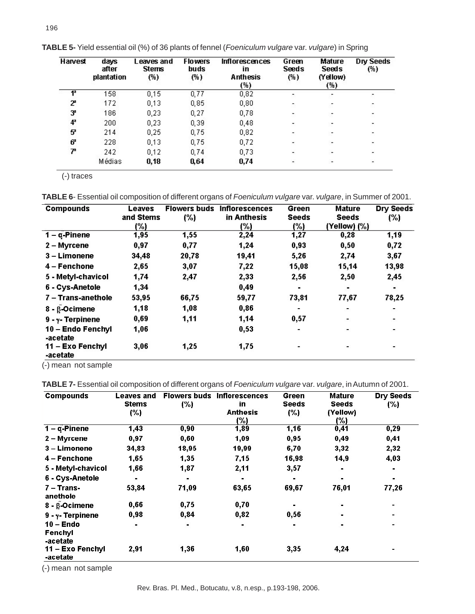| Harvest | days<br>after<br>plantation | Leaves and<br><b>Stems</b><br>(%) | <b>Flowers</b><br>buds<br>(%) | <b>Inflorescences</b><br>in.<br><b>Anthesis</b><br>(%) | Green<br>Seeds<br>(%)    | Mature<br><b>Seeds</b><br>(Yellow)<br>(%) | Dry Seeds<br>(%)         |
|---------|-----------------------------|-----------------------------------|-------------------------------|--------------------------------------------------------|--------------------------|-------------------------------------------|--------------------------|
| 43      | 158                         | 0,15                              | 0,77                          | 0,82                                                   | ۰.                       | $\overline{\phantom{a}}$                  | $\overline{\phantom{a}}$ |
| 2       | 172                         | 0,13                              | 0,85                          | 0,80                                                   |                          |                                           |                          |
| 3°      | 186                         | 0,23                              | 0,27                          | 0,78                                                   | $\,$                     |                                           |                          |
| 4ª      | 200                         | 0,23                              | 0,39                          | 0,48                                                   |                          |                                           |                          |
| 5       | 214                         | 0,25                              | 0,75                          | 0,82                                                   |                          |                                           |                          |
| 6°      | 228                         | 0,13                              | 0,75                          | 0,72                                                   | $\overline{\phantom{a}}$ | $\qquad \qquad$                           |                          |
| 7       | 242                         | 0,12                              | 0,74                          | 0,73                                                   | $\overline{\phantom{0}}$ |                                           | ٠                        |
|         | Médias                      | 0, 18                             | 0,64                          | 0,74                                                   | ٠                        | $\overline{\phantom{a}}$                  |                          |

**TABLE 5-** Yield essential oil (%) of 36 plants of fennel (*Foeniculum vulgare* var. *vulgare*) in Spring

(-) traces

**TABLE 6**- Essential oil composition of different organs of *Foeniculum vulgare* var. *vulgare*, in Summer of 2001.

| <b>Compounds</b>              | Leaves    | <b>Flowers buds</b> | <b>Inflorescences</b> | Green        | <b>Mature</b> | Dry Seeds |
|-------------------------------|-----------|---------------------|-----------------------|--------------|---------------|-----------|
|                               | and Stems | (%)                 | in Anthesis           | <b>Seeds</b> | <b>Seeds</b>  | (%)       |
|                               | (%)       |                     | (%)                   | (%)          | (Yellow) (%)  |           |
| $1 - \alpha$ -Pinene          | 1,95      | 1,55                | 2,24                  | 1,27         | 0,28          | 1,19      |
| 2 - Myrcene                   | 0,97      | 0,77                | 1,24                  | 0,93         | 0,50          | 0,72      |
| 3 - Limonene                  | 34,48     | 20,78               | 19,41                 | 5,26         | 2,74          | 3,67      |
| 4 – Fenchone                  | 2,65      | 3,07                | 7,22                  | 15,08        | 15,14         | 13,98     |
| 5 - Metyl-chavicol            | 1,74      | 2,47                | 2,33                  | 2,56         | 2,50          | 2,45      |
| 6 - Cys-Anetole               | 1,34      |                     | 0,49                  | ۰            | ٠             |           |
| 7 - Trans-anethole            | 53,95     | 66,75               | 59,77                 | 73,81        | 77,67         | 78,25     |
| 8 - B-Ocimene                 | 1,18      | 1,08                | 0,86                  | ۰            | ۰             |           |
| $9 - y - Terpinene$           | 0,69      | 1,11                | 1,14                  | 0,57         | ٠             |           |
| 10 - Endo Fenchyl<br>-acetate | 1,06      |                     | 0,53                  | ٠            | ÷             |           |
| 11 – Exo Fenchyl<br>-acetate  | 3,06      | 1,25                | 1,75                  | ۰            | ۰             |           |

(-) mean not sample

**TABLE 7-** Essential oil composition of different organs of *Foeniculum vulgare* var. *vulgare*, in Autumn of 2001.

| <b>Compounds</b>                   | Leaves and<br><b>Stems</b><br>(%) | <b>Flowers buds</b><br>(%) | <b>Inflorescences</b><br>in<br><b>Anthesis</b><br>(%) | Green<br>Seeds<br>(%) | <b>Mature</b><br><b>Seeds</b><br>(Yellow)<br>(%) | Dry Seeds<br>(%) |
|------------------------------------|-----------------------------------|----------------------------|-------------------------------------------------------|-----------------------|--------------------------------------------------|------------------|
| $1 - \alpha$ -Pinene               | 1,43                              | 0,90                       | 1,89                                                  | 1,16                  | 0,41                                             | 0,29             |
| 2 - Myrcene                        | 0,97                              | 0,60                       | 1,09                                                  | 0,95                  | 0,49                                             | 0,41             |
| 3 – Limonene                       | 34,83                             | 18,95                      | 19,99                                                 | 6,70                  | 3,32                                             | 2,32             |
| 4 – Fenchone                       | 1,65                              | 1,35                       | 7,15                                                  | 16,98                 | 14,9                                             | 4,03             |
| 5 - Metyl-chavicol                 | 1,66                              | 1,87                       | 2,11                                                  | 3,57                  | ۰                                                | ٠                |
| 6 - Cys-Anetole                    | ٠                                 | ۰                          | ٠                                                     |                       | ٠                                                | ٠                |
| $7 - Trans-$<br>anethole           | 53,84                             | 71,09                      | 63,65                                                 | 69,67                 | 76,01                                            | 77,26            |
| $8 - \beta$ -Ocimene               | 0,66                              | 0,75                       | 0,70                                                  |                       | ۰                                                |                  |
| 9 - y - Terpinene                  | 0,98                              | 0,84                       | 0,82                                                  | 0,56                  | ۰                                                |                  |
| $10 -$ Endo<br>Fenchyl<br>-acetate | ۰                                 | ۰                          | ٠                                                     |                       | ٠                                                |                  |
| 11 – Exo Fenchyl<br>-acetate       | 2,91                              | 1,36                       | 1,60                                                  | 3,35                  | 4,24                                             | $\blacksquare$   |

(-) mean not sample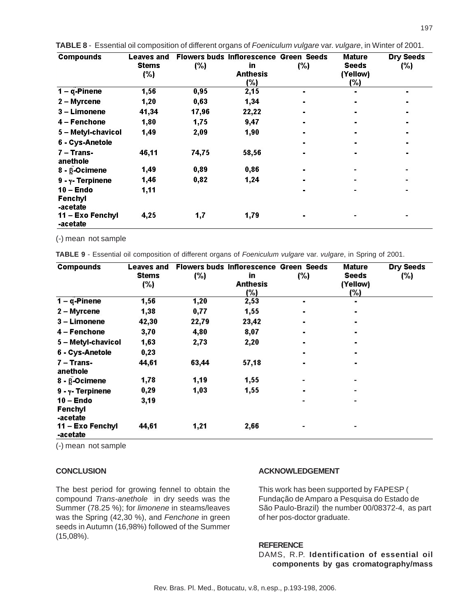| <b>Compounds</b>                   | Leaves and<br><b>Stems</b><br>(%) | (%)   | <b>Flowers buds Inflorescence Green Seeds</b><br>in<br><b>Anthesis</b><br>(%) | (%) | <b>Mature</b><br><b>Seeds</b><br>(Yellow)<br>(%) | Dry Seeds<br>(%) |
|------------------------------------|-----------------------------------|-------|-------------------------------------------------------------------------------|-----|--------------------------------------------------|------------------|
| $1 - \alpha$ -Pinene               | 1,56                              | 0,95  | 2,15                                                                          |     |                                                  |                  |
| 2 - Myrcene                        | 1,20                              | 0,63  | 1,34                                                                          |     |                                                  |                  |
| 3 – Limonene                       | 41,34                             | 17,96 | 22,22                                                                         |     |                                                  |                  |
| 4 - Fenchone                       | 1,80                              | 1,75  | 9,47                                                                          |     |                                                  |                  |
| 5 - Metyl-chavicol                 | 1,49                              | 2,09  | 1,90                                                                          |     |                                                  |                  |
| 6 - Cys-Anetole                    |                                   |       |                                                                               |     |                                                  |                  |
| 7 – Trans-<br>anethole             | 46,11                             | 74,75 | 58,56                                                                         |     |                                                  |                  |
| 8 - B-Ocimene                      | 1,49                              | 0,89  | 0,86                                                                          |     |                                                  |                  |
| $9 - y - Terpinene$                | 1,46                              | 0,82  | 1,24                                                                          |     | ٠                                                |                  |
| $10 -$ Endo<br>Fenchyl<br>-acetate | 1,11                              |       |                                                                               |     |                                                  |                  |
| 11 - Exo Fenchyl<br>-acetate       | 4,25                              | 1,7   | 1,79                                                                          |     |                                                  |                  |

|  |  | TABLE 8 - Essential oil composition of different organs of Foeniculum vulgare var. vulgare, in Winter of 2001. |
|--|--|----------------------------------------------------------------------------------------------------------------|
|  |  |                                                                                                                |

(-) mean not sample

**TABLE 9** - Essential oil composition of different organs of *Foeniculum vulgare* var. *vulgare*, in Spring of 2001.

| <b>Compounds</b>              | Leaves and   |       | <b>Flowers buds Inflorescence Green Seeds</b> |                | <b>Mature</b>            | Dry Seeds |
|-------------------------------|--------------|-------|-----------------------------------------------|----------------|--------------------------|-----------|
|                               | <b>Stems</b> | (%)   | in.                                           | (%)            | Seeds                    | (%)       |
|                               | (%)          |       | <b>Anthesis</b>                               |                | (Yellow)                 |           |
|                               |              |       | (%)                                           |                | (%)                      |           |
| $1 - \alpha$ -Pinene          | 1,56         | 1,20  | 2,53                                          | ۰              | ۰                        |           |
| 2 - Myrcene                   | 1,38         | 0,77  | 1,55                                          |                |                          |           |
| 3 - Limonene                  | 42,30        | 22,79 | 23,42                                         | ۰              | $\blacksquare$           |           |
| 4 – Fenchone                  | 3,70         | 4,80  | 8,07                                          | ۰              | ٠                        |           |
| 5 - Metyl-chavicol            | 1,63         | 2,73  | 2,20                                          | ٠              | ۰                        |           |
| 6 - Cys-Anetole               | 0,23         |       |                                               | $\blacksquare$ | ٠                        |           |
| $7 - Trans-$                  | 44,61        | 63,44 | 57,18                                         | ٠              | ٠                        |           |
| anethole                      |              |       |                                               |                |                          |           |
| 8 - B-Ocimene                 | 1,78         | 1,19  | 1,55                                          | -              | $\overline{\phantom{a}}$ |           |
| $9 - y - Terpinene$           | 0,29         | 1,03  | 1,55                                          |                | ۰                        |           |
| $10 -$ Endo                   | 3,19         |       |                                               |                | ٠                        |           |
| Fenchyl<br>-acetate           |              |       |                                               |                |                          |           |
| 11 - Exo Fenchyl<br>-acetate. | 44,61        | 1,21  | 2,66                                          |                | ٠                        |           |

(-) mean not sample

#### **CONCLUSION**

The best period for growing fennel to obtain the compound *Trans-anethole* in dry seeds was the Summer (78.25 %); for *limonene* in steams/leaves was the Spring (42,30 %), and *Fenchone* in green seeds in Autumn (16,98%) followed of the Summer (15,08%).

## **ACKNOWLEDGEMENT**

This work has been supported by FAPESP ( Fundação de Amparo a Pesquisa do Estado de São Paulo-Brazil) the number 00/08372-4, as part of her pos-doctor graduate.

### **REFERENCE**

DAMS, R.P. **Identification of essential oil components by gas cromatography/mass**